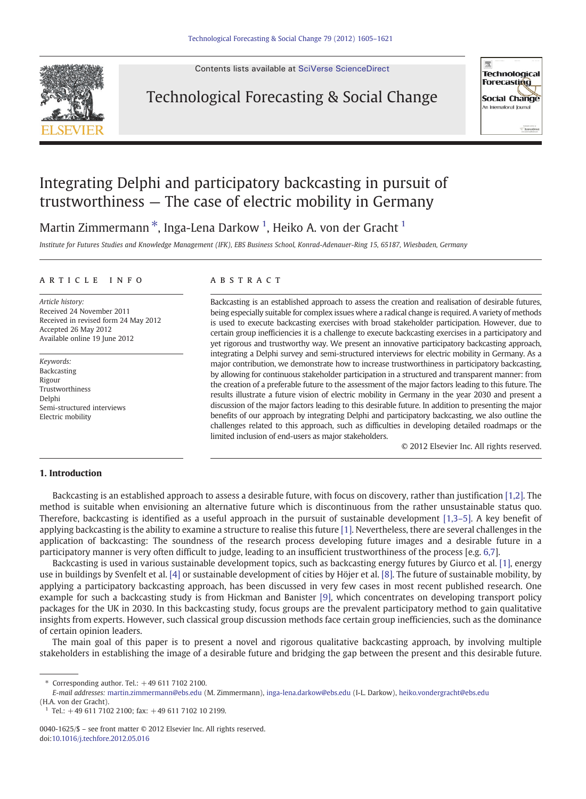

Contents lists available at [SciVerse ScienceDirect](http://www.sciencedirect.com/science/journal/00401625)

### Technological Forecasting & Social Change



## Integrating Delphi and participatory backcasting in pursuit of trustworthiness — The case of electric mobility in Germany

Martin Zimmermann $^\ast$ , Inga-Lena Darkow  $^1$ , Heiko A. von der Gracht  $^1$ 

Institute for Futures Studies and Knowledge Management (IFK), EBS Business School, Konrad-Adenauer-Ring 15, 65187, Wiesbaden, Germany

#### article info abstract

Article history: Received 24 November 2011 Received in revised form 24 May 2012 Accepted 26 May 2012 Available online 19 June 2012

Keywords: Backcasting Rigour Trustworthiness Delphi Semi-structured interviews Electric mobility

Backcasting is an established approach to assess the creation and realisation of desirable futures, being especially suitable for complex issues where a radical change is required. A variety of methods is used to execute backcasting exercises with broad stakeholder participation. However, due to certain group inefficiencies it is a challenge to execute backcasting exercises in a participatory and yet rigorous and trustworthy way. We present an innovative participatory backcasting approach, integrating a Delphi survey and semi-structured interviews for electric mobility in Germany. As a major contribution, we demonstrate how to increase trustworthiness in participatory backcasting, by allowing for continuous stakeholder participation in a structured and transparent manner: from the creation of a preferable future to the assessment of the major factors leading to this future. The results illustrate a future vision of electric mobility in Germany in the year 2030 and present a discussion of the major factors leading to this desirable future. In addition to presenting the major benefits of our approach by integrating Delphi and participatory backcasting, we also outline the challenges related to this approach, such as difficulties in developing detailed roadmaps or the limited inclusion of end-users as major stakeholders.

© 2012 Elsevier Inc. All rights reserved.

### 1. Introduction

Backcasting is an established approach to assess a desirable future, with focus on discovery, rather than justification [\[1,2\].](#page--1-0) The method is suitable when envisioning an alternative future which is discontinuous from the rather unsustainable status quo. Therefore, backcasting is identified as a useful approach in the pursuit of sustainable development [\[1,3](#page--1-0)–5]. A key benefit of applying backcasting is the ability to examine a structure to realise this future [\[1\].](#page--1-0) Nevertheless, there are several challenges in the application of backcasting: The soundness of the research process developing future images and a desirable future in a participatory manner is very often difficult to judge, leading to an insufficient trustworthiness of the process [e.g. [6,7](#page--1-0)].

Backcasting is used in various sustainable development topics, such as backcasting energy futures by Giurco et al. [\[1\]](#page--1-0), energy use in buildings by Svenfelt et al. [\[4\]](#page--1-0) or sustainable development of cities by Höjer et al. [\[8\].](#page--1-0) The future of sustainable mobility, by applying a participatory backcasting approach, has been discussed in very few cases in most recent published research. One example for such a backcasting study is from Hickman and Banister [\[9\]](#page--1-0), which concentrates on developing transport policy packages for the UK in 2030. In this backcasting study, focus groups are the prevalent participatory method to gain qualitative insights from experts. However, such classical group discussion methods face certain group inefficiencies, such as the dominance of certain opinion leaders.

The main goal of this paper is to present a novel and rigorous qualitative backcasting approach, by involving multiple stakeholders in establishing the image of a desirable future and bridging the gap between the present and this desirable future.

⁎ Corresponding author. Tel.: +49 611 7102 2100.

E-mail addresses: [martin.zimmermann@ebs.edu](mailto:martin.zimmermann@ebs.edu) (M. Zimmermann), [inga-lena.darkow@ebs.edu](mailto:inga-lena.darkow@ebs.edu) (I-L. Darkow), [heiko.vondergracht@ebs.edu](mailto:heiko.vondergracht@ebs.edu) (H.A. von der Gracht).

 $1$  Tel.: +49 611 7102 2100; fax: +49 611 7102 10 2199.

<sup>0040-1625/\$</sup> – see front matter © 2012 Elsevier Inc. All rights reserved. doi[:10.1016/j.techfore.2012.05.016](http://dx.doi.org/10.1016/j.techfore.2012.05.016)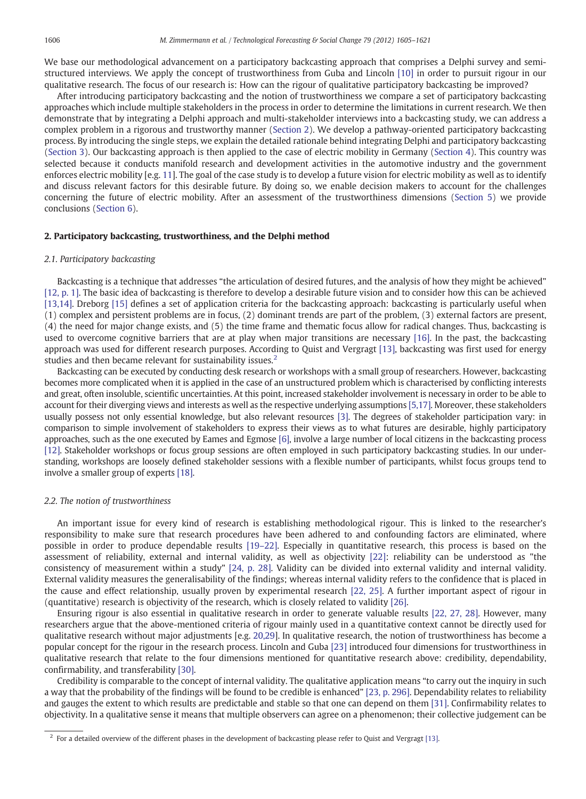We base our methodological advancement on a participatory backcasting approach that comprises a Delphi survey and semistructured interviews. We apply the concept of trustworthiness from Guba and Lincoln [\[10\]](#page--1-0) in order to pursuit rigour in our qualitative research. The focus of our research is: How can the rigour of qualitative participatory backcasting be improved?

After introducing participatory backcasting and the notion of trustworthiness we compare a set of participatory backcasting approaches which include multiple stakeholders in the process in order to determine the limitations in current research. We then demonstrate that by integrating a Delphi approach and multi-stakeholder interviews into a backcasting study, we can address a complex problem in a rigorous and trustworthy manner (Section 2). We develop a pathway-oriented participatory backcasting process. By introducing the single steps, we explain the detailed rationale behind integrating Delphi and participatory backcasting ([Section 3](#page--1-0)). Our backcasting approach is then applied to the case of electric mobility in Germany [\(Section 4](#page--1-0)). This country was selected because it conducts manifold research and development activities in the automotive industry and the government enforces electric mobility [e.g. [11](#page--1-0)]. The goal of the case study is to develop a future vision for electric mobility as well as to identify and discuss relevant factors for this desirable future. By doing so, we enable decision makers to account for the challenges concerning the future of electric mobility. After an assessment of the trustworthiness dimensions [\(Section 5](#page--1-0)) we provide conclusions [\(Section 6\)](#page--1-0).

#### 2. Participatory backcasting, trustworthiness, and the Delphi method

#### 2.1. Participatory backcasting

Backcasting is a technique that addresses "the articulation of desired futures, and the analysis of how they might be achieved" [\[12, p. 1\]](#page--1-0). The basic idea of backcasting is therefore to develop a desirable future vision and to consider how this can be achieved [\[13,14\].](#page--1-0) Dreborg [\[15\]](#page--1-0) defines a set of application criteria for the backcasting approach: backcasting is particularly useful when (1) complex and persistent problems are in focus, (2) dominant trends are part of the problem, (3) external factors are present, (4) the need for major change exists, and (5) the time frame and thematic focus allow for radical changes. Thus, backcasting is used to overcome cognitive barriers that are at play when major transitions are necessary [\[16\]](#page--1-0). In the past, the backcasting approach was used for different research purposes. According to Quist and Vergragt [\[13\],](#page--1-0) backcasting was first used for energy studies and then became relevant for sustainability issues.<sup>2</sup>

Backcasting can be executed by conducting desk research or workshops with a small group of researchers. However, backcasting becomes more complicated when it is applied in the case of an unstructured problem which is characterised by conflicting interests and great, often insoluble, scientific uncertainties. At this point, increased stakeholder involvement is necessary in order to be able to account for their diverging views and interests as well as the respective underlying assumptions [\[5,17\]](#page--1-0). Moreover, these stakeholders usually possess not only essential knowledge, but also relevant resources [\[3\]](#page--1-0). The degrees of stakeholder participation vary: in comparison to simple involvement of stakeholders to express their views as to what futures are desirable, highly participatory approaches, such as the one executed by Eames and Egmose [\[6\],](#page--1-0) involve a large number of local citizens in the backcasting process [\[12\].](#page--1-0) Stakeholder workshops or focus group sessions are often employed in such participatory backcasting studies. In our understanding, workshops are loosely defined stakeholder sessions with a flexible number of participants, whilst focus groups tend to involve a smaller group of experts [\[18\].](#page--1-0)

#### 2.2. The notion of trustworthiness

An important issue for every kind of research is establishing methodological rigour. This is linked to the researcher's responsibility to make sure that research procedures have been adhered to and confounding factors are eliminated, where possible in order to produce dependable results [19–[22\].](#page--1-0) Especially in quantitative research, this process is based on the assessment of reliability, external and internal validity, as well as objectivity [\[22\]](#page--1-0): reliability can be understood as "the consistency of measurement within a study" [\[24, p. 28\].](#page--1-0) Validity can be divided into external validity and internal validity. External validity measures the generalisability of the findings; whereas internal validity refers to the confidence that is placed in the cause and effect relationship, usually proven by experimental research [\[22, 25\].](#page--1-0) A further important aspect of rigour in (quantitative) research is objectivity of the research, which is closely related to validity [\[26\].](#page--1-0)

Ensuring rigour is also essential in qualitative research in order to generate valuable results [\[22, 27, 28\]](#page--1-0). However, many researchers argue that the above-mentioned criteria of rigour mainly used in a quantitative context cannot be directly used for qualitative research without major adjustments [e.g. [20,29](#page--1-0)]. In qualitative research, the notion of trustworthiness has become a popular concept for the rigour in the research process. Lincoln and Guba [\[23\]](#page--1-0) introduced four dimensions for trustworthiness in qualitative research that relate to the four dimensions mentioned for quantitative research above: credibility, dependability, confirmability, and transferability [\[30\]](#page--1-0).

Credibility is comparable to the concept of internal validity. The qualitative application means "to carry out the inquiry in such a way that the probability of the findings will be found to be credible is enhanced" [\[23, p. 296\]](#page--1-0). Dependability relates to reliability and gauges the extent to which results are predictable and stable so that one can depend on them [\[31\]](#page--1-0). Confirmability relates to objectivity. In a qualitative sense it means that multiple observers can agree on a phenomenon; their collective judgement can be

 $2$  For a detailed overview of the different phases in the development of backcasting please refer to Quist and Vergragt [\[13\]](#page--1-0).